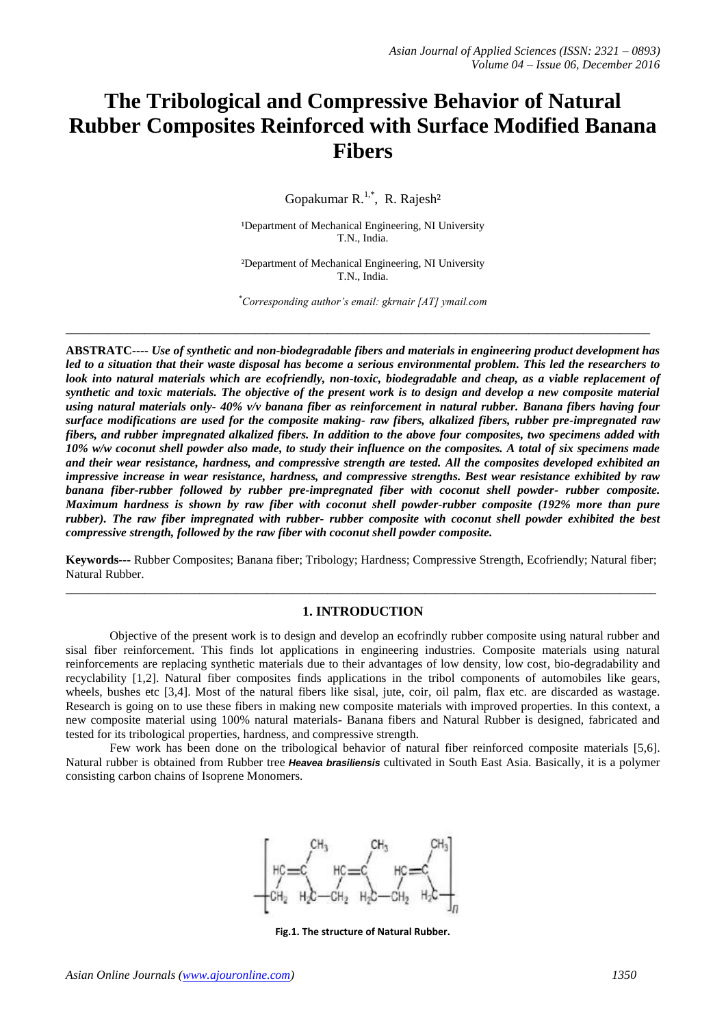# **The Tribological and Compressive Behavior of Natural Rubber Composites Reinforced with Surface Modified Banana Fibers**

Gopakumar R.<sup>1,\*</sup>, R. Rajesh<sup>2</sup>

<sup>1</sup>Department of Mechanical Engineering, NI University T.N., India.

²Department of Mechanical Engineering, NI University T.N., India.

*\*Corresponding author's email: gkrnair [AT] ymail.com*

\_\_\_\_\_\_\_\_\_\_\_\_\_\_\_\_\_\_\_\_\_\_\_\_\_\_\_\_\_\_\_\_\_\_\_\_\_\_\_\_\_\_\_\_\_\_\_\_\_\_\_\_\_\_\_\_\_\_\_\_\_\_\_\_\_\_\_\_\_\_\_\_\_\_\_\_\_\_\_\_\_\_\_\_\_\_\_\_\_\_\_\_\_\_\_\_

**ABSTRATC----** *Use of synthetic and non-biodegradable fibers and materials in engineering product development has led to a situation that their waste disposal has become a serious environmental problem. This led the researchers to*  look into natural materials which are ecofriendly, non-toxic, biodegradable and cheap, as a viable replacement of *synthetic and toxic materials. The objective of the present work is to design and develop a new composite material using natural materials only- 40% v/v banana fiber as reinforcement in natural rubber. Banana fibers having four surface modifications are used for the composite making- raw fibers, alkalized fibers, rubber pre-impregnated raw fibers, and rubber impregnated alkalized fibers. In addition to the above four composites, two specimens added with 10% w/w coconut shell powder also made, to study their influence on the composites. A total of six specimens made and their wear resistance, hardness, and compressive strength are tested. All the composites developed exhibited an impressive increase in wear resistance, hardness, and compressive strengths. Best wear resistance exhibited by raw banana fiber-rubber followed by rubber pre-impregnated fiber with coconut shell powder- rubber composite. Maximum hardness is shown by raw fiber with coconut shell powder-rubber composite (192% more than pure rubber). The raw fiber impregnated with rubber- rubber composite with coconut shell powder exhibited the best compressive strength, followed by the raw fiber with coconut shell powder composite.*

**Keywords---** Rubber Composites; Banana fiber; Tribology; Hardness; Compressive Strength, Ecofriendly; Natural fiber; Natural Rubber. \_\_\_\_\_\_\_\_\_\_\_\_\_\_\_\_\_\_\_\_\_\_\_\_\_\_\_\_\_\_\_\_\_\_\_\_\_\_\_\_\_\_\_\_\_\_\_\_\_\_\_\_\_\_\_\_\_\_\_\_\_\_\_\_\_\_\_\_\_\_\_\_\_\_\_\_\_\_\_\_\_\_\_\_\_\_\_\_\_\_\_\_\_\_\_\_\_

## **1. INTRODUCTION**

Objective of the present work is to design and develop an ecofrindly rubber composite using natural rubber and sisal fiber reinforcement. This finds lot applications in engineering industries. Composite materials using natural reinforcements are replacing synthetic materials due to their advantages of low density, low cost, bio-degradability and recyclability [1,2]. Natural fiber composites finds applications in the tribol components of automobiles like gears, wheels, bushes etc [3,4]. Most of the natural fibers like sisal, jute, coir, oil palm, flax etc. are discarded as wastage. Research is going on to use these fibers in making new composite materials with improved properties. In this context, a new composite material using 100% natural materials- Banana fibers and Natural Rubber is designed, fabricated and tested for its tribological properties, hardness, and compressive strength.

Few work has been done on the tribological behavior of natural fiber reinforced composite materials [5,6]. Natural rubber is obtained from Rubber tree *Heavea brasiliensis* cultivated in South East Asia. Basically, it is a polymer consisting carbon chains of Isoprene Monomers.



**Fig.1. The structure of Natural Rubber.**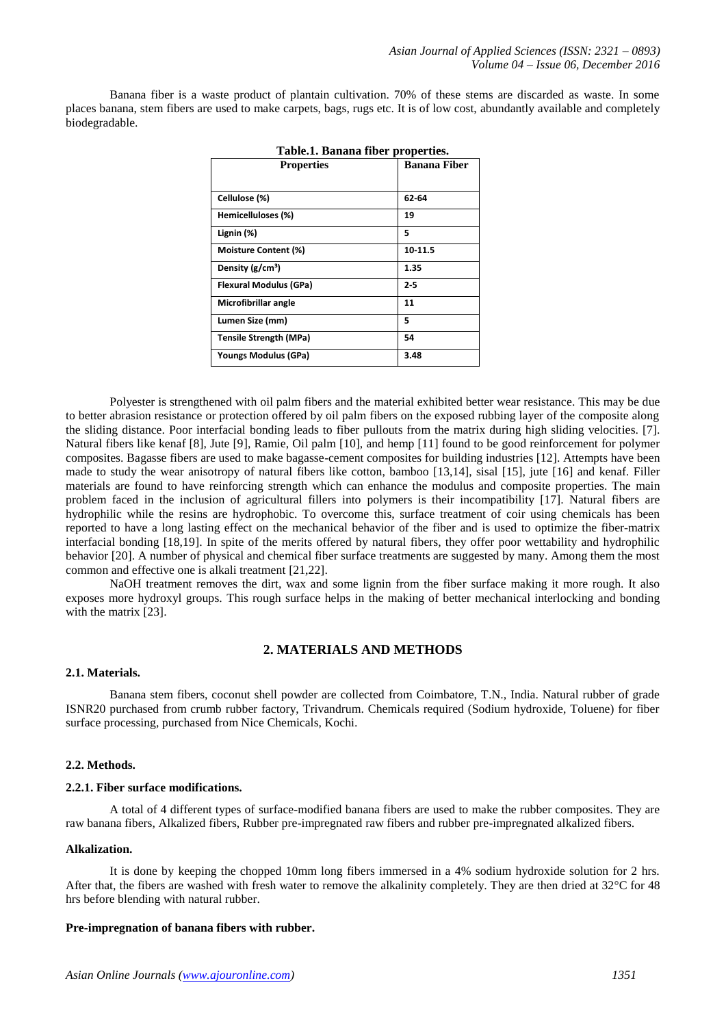Banana fiber is a waste product of plantain cultivation. 70% of these stems are discarded as waste. In some places banana, stem fibers are used to make carpets, bags, rugs etc. It is of low cost, abundantly available and completely biodegradable.

| Table.1. Banana fiber properties. |                     |  |  |  |
|-----------------------------------|---------------------|--|--|--|
| <b>Properties</b>                 | <b>Banana Fiber</b> |  |  |  |
|                                   |                     |  |  |  |
| Cellulose (%)                     | 62-64               |  |  |  |
| Hemicelluloses (%)                | 19                  |  |  |  |
| Lignin (%)                        | 5                   |  |  |  |
| <b>Moisture Content (%)</b>       | 10-11.5             |  |  |  |
| Density (g/cm <sup>3</sup> )      | 1.35                |  |  |  |
| Flexural Modulus (GPa)            | $2-5$               |  |  |  |
| Microfibrillar angle              | 11                  |  |  |  |
| Lumen Size (mm)                   | 5                   |  |  |  |
| <b>Tensile Strength (MPa)</b>     | 54                  |  |  |  |
| Youngs Modulus (GPa)              | 3.48                |  |  |  |

Polyester is strengthened with oil palm fibers and the material exhibited better wear resistance. This may be due to better abrasion resistance or protection offered by oil palm fibers on the exposed rubbing layer of the composite along the sliding distance. Poor interfacial bonding leads to fiber pullouts from the matrix during high sliding velocities. [7]. Natural fibers like kenaf [8], Jute [9], Ramie, Oil palm [10], and hemp [11] found to be good reinforcement for polymer composites. Bagasse fibers are used to make bagasse-cement composites for building industries [12]. Attempts have been made to study the wear anisotropy of natural fibers like cotton, bamboo [13,14], sisal [15], jute [16] and kenaf. Filler materials are found to have reinforcing strength which can enhance the modulus and composite properties. The main problem faced in the inclusion of agricultural fillers into polymers is their incompatibility [17]. Natural fibers are hydrophilic while the resins are hydrophobic. To overcome this, surface treatment of coir using chemicals has been reported to have a long lasting effect on the mechanical behavior of the fiber and is used to optimize the fiber-matrix interfacial bonding [18,19]. In spite of the merits offered by natural fibers, they offer poor wettability and hydrophilic behavior [20]. A number of physical and chemical fiber surface treatments are suggested by many. Among them the most common and effective one is alkali treatment [21,22].

NaOH treatment removes the dirt, wax and some lignin from the fiber surface making it more rough. It also exposes more hydroxyl groups. This rough surface helps in the making of better mechanical interlocking and bonding with the matrix [23].

# **2. MATERIALS AND METHODS**

## **2.1. Materials.**

Banana stem fibers, coconut shell powder are collected from Coimbatore, T.N., India. Natural rubber of grade ISNR20 purchased from crumb rubber factory, Trivandrum. Chemicals required (Sodium hydroxide, Toluene) for fiber surface processing, purchased from Nice Chemicals, Kochi.

#### **2.2. Methods.**

#### **2.2.1. Fiber surface modifications.**

A total of 4 different types of surface-modified banana fibers are used to make the rubber composites. They are raw banana fibers, Alkalized fibers, Rubber pre-impregnated raw fibers and rubber pre-impregnated alkalized fibers.

#### **Alkalization.**

It is done by keeping the chopped 10mm long fibers immersed in a 4% sodium hydroxide solution for 2 hrs. After that, the fibers are washed with fresh water to remove the alkalinity completely. They are then dried at 32°C for 48 hrs before blending with natural rubber.

#### **Pre-impregnation of banana fibers with rubber.**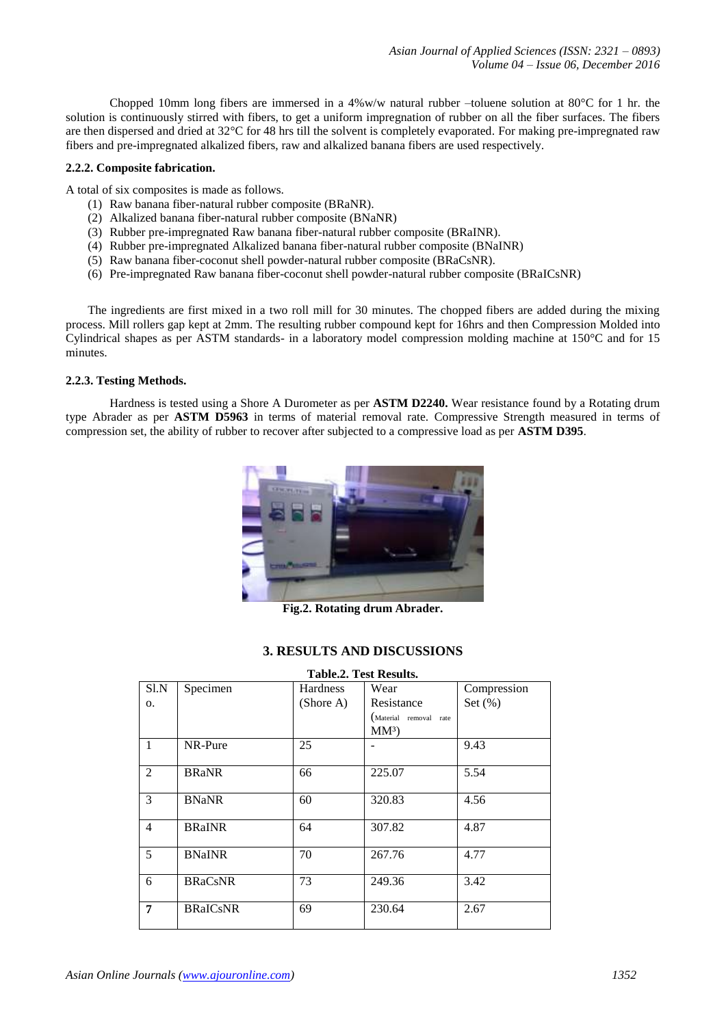Chopped 10mm long fibers are immersed in a 4%w/w natural rubber –toluene solution at  $80^{\circ}$ C for 1 hr. the solution is continuously stirred with fibers, to get a uniform impregnation of rubber on all the fiber surfaces. The fibers are then dispersed and dried at 32°C for 48 hrs till the solvent is completely evaporated. For making pre-impregnated raw fibers and pre-impregnated alkalized fibers, raw and alkalized banana fibers are used respectively.

## **2.2.2. Composite fabrication.**

A total of six composites is made as follows.

- (1) Raw banana fiber-natural rubber composite (BRaNR).
- (2) Alkalized banana fiber-natural rubber composite (BNaNR)
- (3) Rubber pre-impregnated Raw banana fiber-natural rubber composite (BRaINR).
- (4) Rubber pre-impregnated Alkalized banana fiber-natural rubber composite (BNaINR)
- (5) Raw banana fiber-coconut shell powder-natural rubber composite (BRaCsNR).
- (6) Pre-impregnated Raw banana fiber-coconut shell powder-natural rubber composite (BRaICsNR)

The ingredients are first mixed in a two roll mill for 30 minutes. The chopped fibers are added during the mixing process. Mill rollers gap kept at 2mm. The resulting rubber compound kept for 16hrs and then Compression Molded into Cylindrical shapes as per ASTM standards- in a laboratory model compression molding machine at 150°C and for 15 minutes.

## **2.2.3. Testing Methods.**

Hardness is tested using a Shore A Durometer as per **ASTM D2240.** Wear resistance found by a Rotating drum type Abrader as per **ASTM D5963** in terms of material removal rate. Compressive Strength measured in terms of compression set, the ability of rubber to recover after subjected to a compressive load as per **ASTM D395**.



**Fig.2. Rotating drum Abrader.**

# **3. RESULTS AND DISCUSSIONS**

| <b>Table.2. Test Results.</b> |                 |                 |                           |             |  |
|-------------------------------|-----------------|-----------------|---------------------------|-------------|--|
| S1.N                          | Specimen        | <b>Hardness</b> | Wear                      | Compression |  |
| 0.                            |                 | (Shore A)       | Resistance                | Set $(\%)$  |  |
|                               |                 |                 | (Material removal<br>rate |             |  |
|                               |                 |                 | $MM^3$                    |             |  |
| $\mathbf{1}$                  | NR-Pure         | 25              |                           | 9.43        |  |
|                               |                 |                 |                           |             |  |
| 2                             | <b>BRaNR</b>    | 66              | 225.07                    | 5.54        |  |
|                               |                 |                 |                           |             |  |
| 3                             | <b>BNaNR</b>    | 60              | 320.83                    | 4.56        |  |
|                               |                 |                 |                           |             |  |
| $\overline{4}$                | <b>BRaINR</b>   | 64              | 307.82                    | 4.87        |  |
|                               |                 |                 |                           |             |  |
| 5                             | <b>BNaINR</b>   | 70              | 267.76                    | 4.77        |  |
|                               |                 |                 |                           |             |  |
| 6                             | <b>BRaCsNR</b>  | 73              | 249.36                    | 3.42        |  |
|                               |                 |                 |                           |             |  |
| 7                             | <b>BRaICsNR</b> | 69              | 230.64                    | 2.67        |  |
|                               |                 |                 |                           |             |  |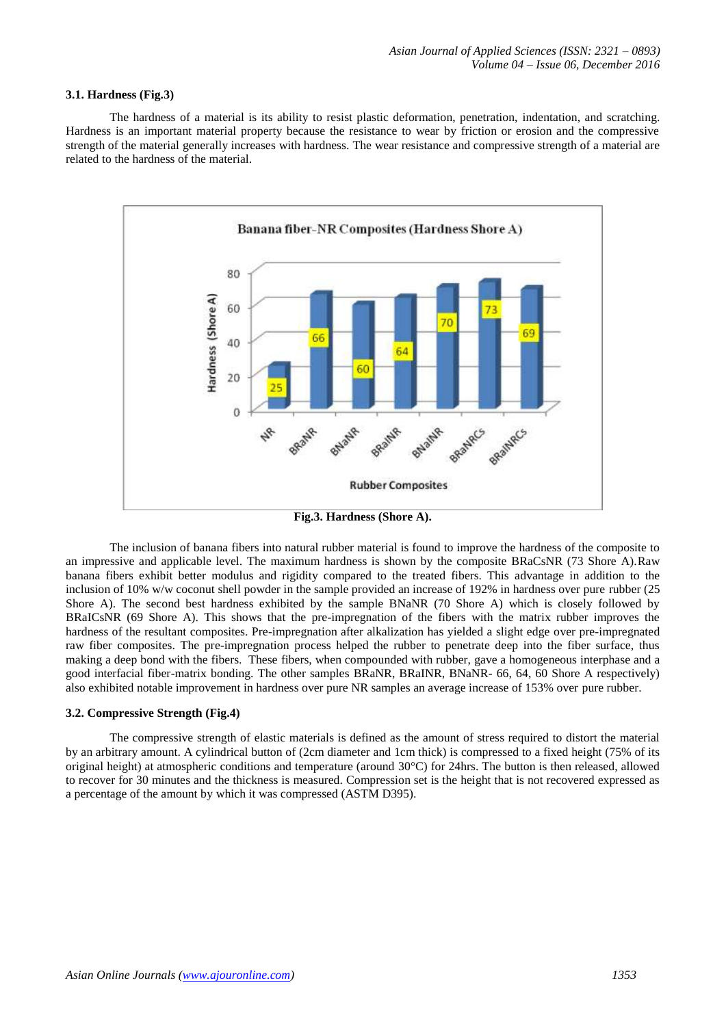#### **3.1. Hardness (Fig.3)**

The hardness of a material is its ability to resist plastic deformation, penetration, indentation, and scratching. Hardness is an important material property because the resistance to wear by friction or erosion and the compressive strength of the material generally increases with hardness. The wear resistance and compressive strength of a material are related to the hardness of the material.



**Fig.3. Hardness (Shore A).**

The inclusion of banana fibers into natural rubber material is found to improve the hardness of the composite to an impressive and applicable level. The maximum hardness is shown by the composite BRaCsNR (73 Shore A).Raw banana fibers exhibit better modulus and rigidity compared to the treated fibers. This advantage in addition to the inclusion of 10% w/w coconut shell powder in the sample provided an increase of 192% in hardness over pure rubber (25 Shore A). The second best hardness exhibited by the sample BNaNR (70 Shore A) which is closely followed by BRaICsNR (69 Shore A). This shows that the pre-impregnation of the fibers with the matrix rubber improves the hardness of the resultant composites. Pre-impregnation after alkalization has yielded a slight edge over pre-impregnated raw fiber composites. The pre-impregnation process helped the rubber to penetrate deep into the fiber surface, thus making a deep bond with the fibers. These fibers, when compounded with rubber, gave a homogeneous interphase and a good interfacial fiber-matrix bonding. The other samples BRaNR, BRaINR, BNaNR- 66, 64, 60 Shore A respectively) also exhibited notable improvement in hardness over pure NR samples an average increase of 153% over pure rubber.

## **3.2. Compressive Strength (Fig.4)**

The compressive strength of elastic materials is defined as the amount of stress required to distort the material by an arbitrary amount. A cylindrical button of (2cm diameter and 1cm thick) is compressed to a fixed height (75% of its original height) at atmospheric conditions and temperature (around 30°C) for 24hrs. The button is then released, allowed to recover for 30 minutes and the thickness is measured. Compression set is the height that is not recovered expressed as a percentage of the amount by which it was compressed (ASTM D395).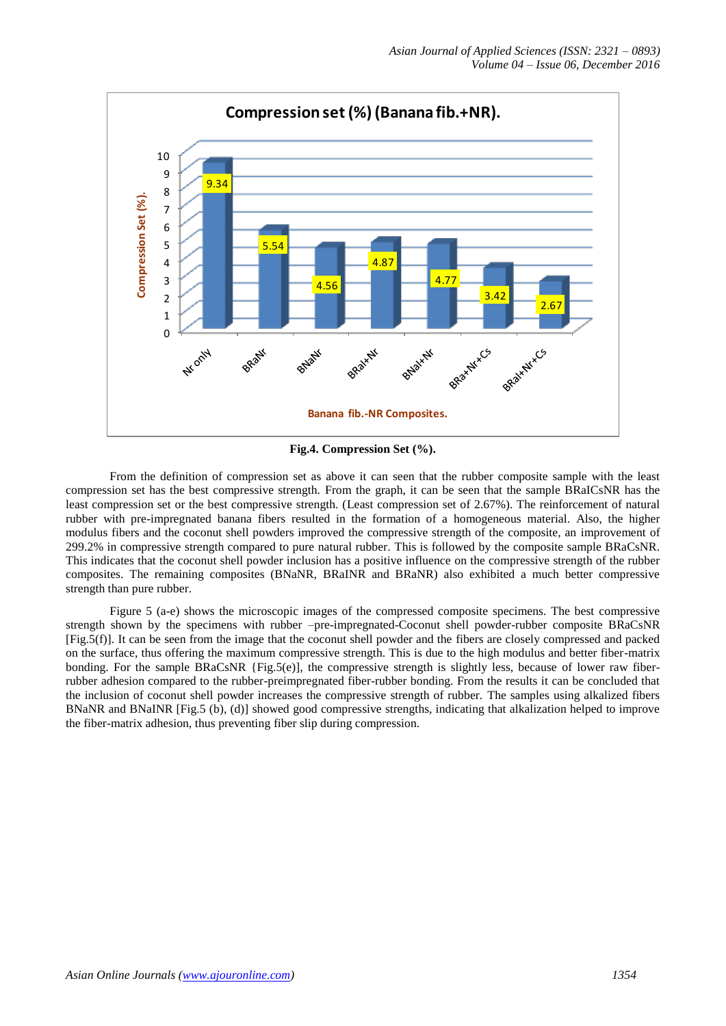

**Fig.4. Compression Set (%).**

From the definition of compression set as above it can seen that the rubber composite sample with the least compression set has the best compressive strength. From the graph, it can be seen that the sample BRaICsNR has the least compression set or the best compressive strength. (Least compression set of 2.67%). The reinforcement of natural rubber with pre-impregnated banana fibers resulted in the formation of a homogeneous material. Also, the higher modulus fibers and the coconut shell powders improved the compressive strength of the composite, an improvement of 299.2% in compressive strength compared to pure natural rubber. This is followed by the composite sample BRaCsNR. This indicates that the coconut shell powder inclusion has a positive influence on the compressive strength of the rubber composites. The remaining composites (BNaNR, BRaINR and BRaNR) also exhibited a much better compressive strength than pure rubber.

Figure 5 (a-e) shows the microscopic images of the compressed composite specimens. The best compressive strength shown by the specimens with rubber –pre-impregnated-Coconut shell powder-rubber composite BRaCsNR [Fig.5(f)]. It can be seen from the image that the coconut shell powder and the fibers are closely compressed and packed on the surface, thus offering the maximum compressive strength. This is due to the high modulus and better fiber-matrix bonding. For the sample BRaCsNR {Fig.5(e)], the compressive strength is slightly less, because of lower raw fiberrubber adhesion compared to the rubber-preimpregnated fiber-rubber bonding. From the results it can be concluded that the inclusion of coconut shell powder increases the compressive strength of rubber. The samples using alkalized fibers BNaNR and BNaINR [Fig.5 (b), (d)] showed good compressive strengths, indicating that alkalization helped to improve the fiber-matrix adhesion, thus preventing fiber slip during compression.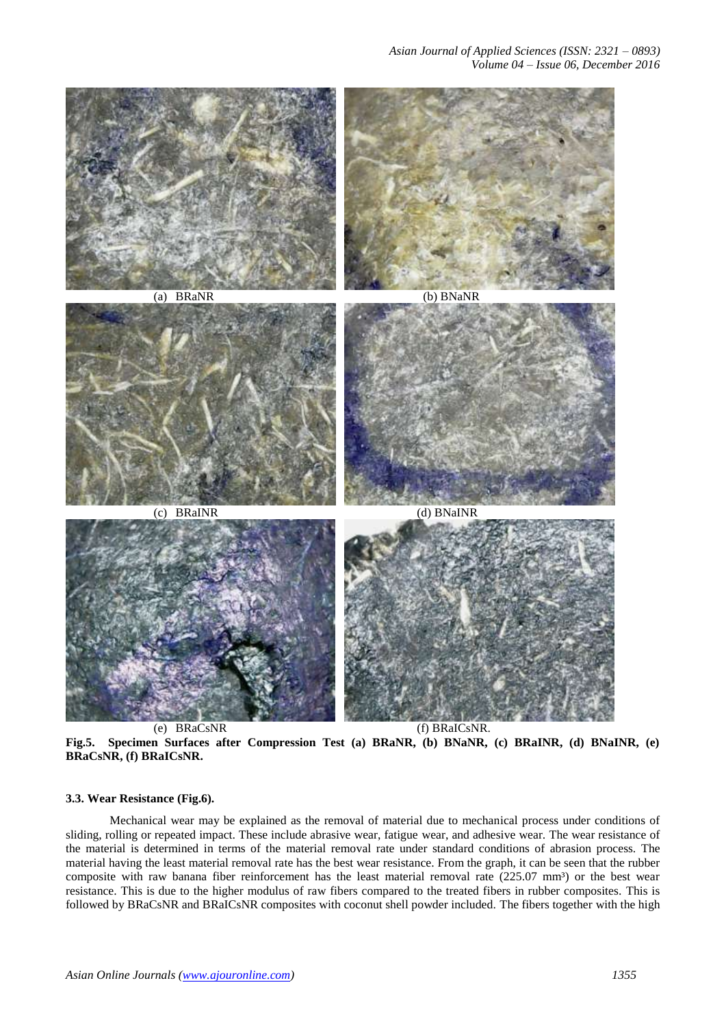

(e) BRaCsNR (f) BRaICsNR. **Fig.5. Specimen Surfaces after Compression Test (a) BRaNR, (b) BNaNR, (c) BRaINR, (d) BNaINR, (e) BRaCsNR, (f) BRaICsNR.**

#### **3.3. Wear Resistance (Fig.6).**

Mechanical wear may be explained as the removal of material due to mechanical process under conditions of sliding, rolling or repeated impact. These include abrasive wear, fatigue wear, and adhesive wear. The wear resistance of the material is determined in terms of the material removal rate under standard conditions of abrasion process. The material having the least material removal rate has the best wear resistance. From the graph, it can be seen that the rubber composite with raw banana fiber reinforcement has the least material removal rate  $(225.07 \text{ mm}^3)$  or the best wear resistance. This is due to the higher modulus of raw fibers compared to the treated fibers in rubber composites. This is followed by BRaCsNR and BRaICsNR composites with coconut shell powder included. The fibers together with the high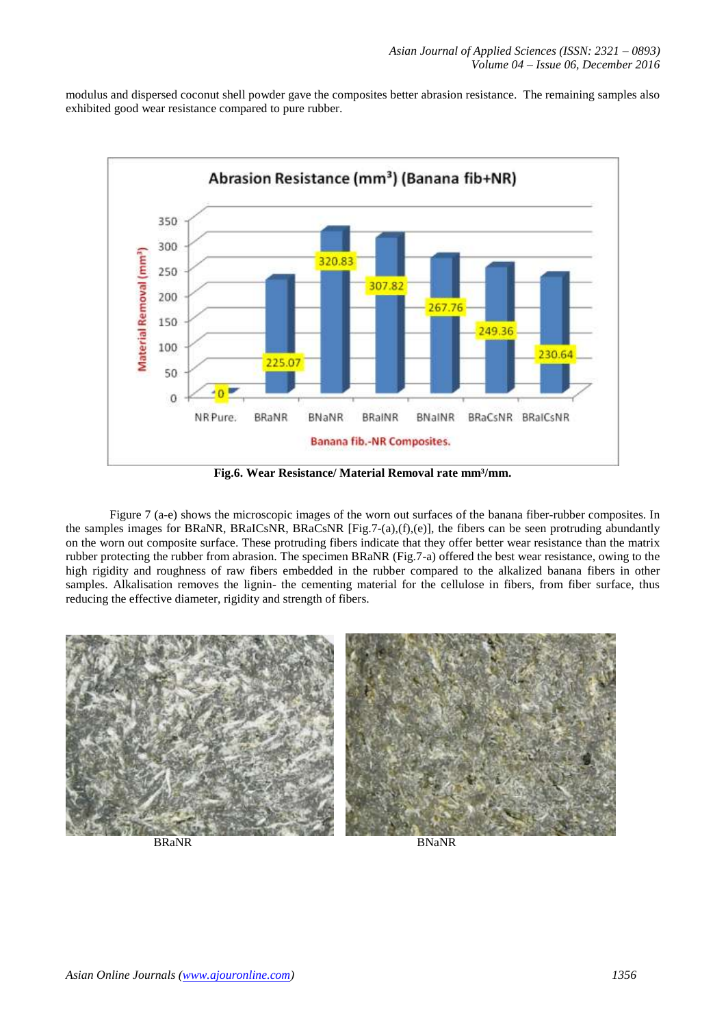modulus and dispersed coconut shell powder gave the composites better abrasion resistance. The remaining samples also exhibited good wear resistance compared to pure rubber.



**Fig.6. Wear Resistance/ Material Removal rate mm³/mm.**

Figure 7 (a-e) shows the microscopic images of the worn out surfaces of the banana fiber-rubber composites. In the samples images for BRaNR, BRaICsNR, BRaCsNR  $[Fig.7-(a),(f),(e)]$ , the fibers can be seen protruding abundantly on the worn out composite surface. These protruding fibers indicate that they offer better wear resistance than the matrix rubber protecting the rubber from abrasion. The specimen BRaNR (Fig.7-a) offered the best wear resistance, owing to the high rigidity and roughness of raw fibers embedded in the rubber compared to the alkalized banana fibers in other samples. Alkalisation removes the lignin- the cementing material for the cellulose in fibers, from fiber surface, thus reducing the effective diameter, rigidity and strength of fibers.



BRaNR BNaNR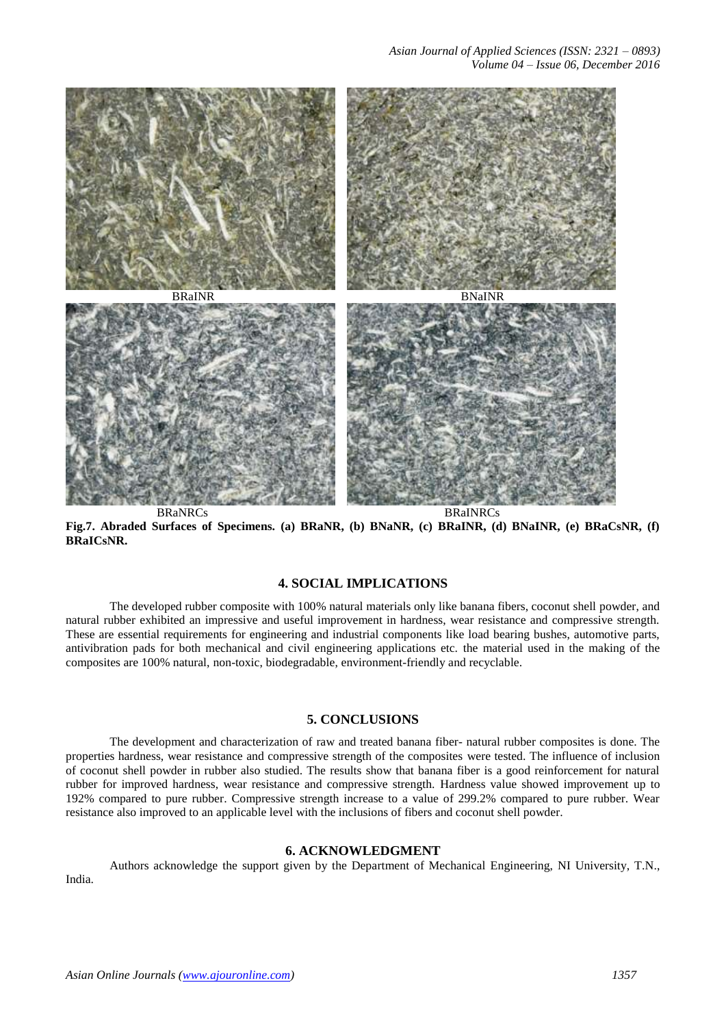

**Fig.7. Abraded Surfaces of Specimens. (a) BRaNR, (b) BNaNR, (c) BRaINR, (d) BNaINR, (e) BRaCsNR, (f) BRaICsNR.**

# **4. SOCIAL IMPLICATIONS**

The developed rubber composite with 100% natural materials only like banana fibers, coconut shell powder, and natural rubber exhibited an impressive and useful improvement in hardness, wear resistance and compressive strength. These are essential requirements for engineering and industrial components like load bearing bushes, automotive parts, antivibration pads for both mechanical and civil engineering applications etc. the material used in the making of the composites are 100% natural, non-toxic, biodegradable, environment-friendly and recyclable.

# **5. CONCLUSIONS**

The development and characterization of raw and treated banana fiber- natural rubber composites is done. The properties hardness, wear resistance and compressive strength of the composites were tested. The influence of inclusion of coconut shell powder in rubber also studied. The results show that banana fiber is a good reinforcement for natural rubber for improved hardness, wear resistance and compressive strength. Hardness value showed improvement up to 192% compared to pure rubber. Compressive strength increase to a value of 299.2% compared to pure rubber. Wear resistance also improved to an applicable level with the inclusions of fibers and coconut shell powder.

## **6. ACKNOWLEDGMENT**

Authors acknowledge the support given by the Department of Mechanical Engineering, NI University, T.N., India.